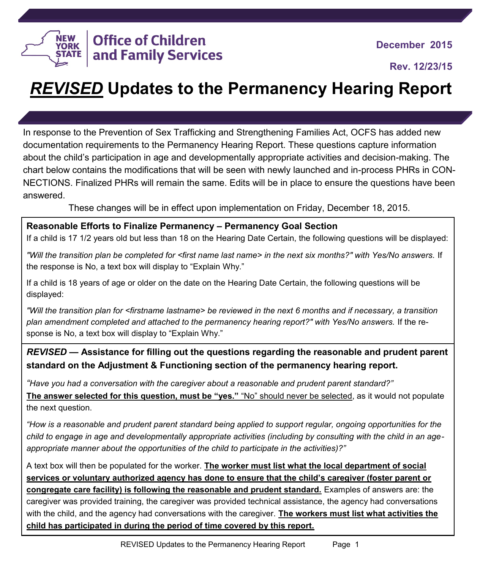

**Rev. 12/23/15**

# *REVISED* **Updates to the Permanency Hearing Report**

In response to the Prevention of Sex Trafficking and Strengthening Families Act, OCFS has added new documentation requirements to the Permanency Hearing Report. These questions capture information about the child's participation in age and developmentally appropriate activities and decision-making. The chart below contains the modifications that will be seen with newly launched and in-process PHRs in CON-NECTIONS. Finalized PHRs will remain the same. Edits will be in place to ensure the questions have been answered.

These changes will be in effect upon implementation on Friday, December 18, 2015.

#### **Reasonable Efforts to Finalize Permanency – Permanency Goal Section**

If a child is 17 1/2 years old but less than 18 on the Hearing Date Certain, the following questions will be displayed:

*"Will the transition plan be completed for <first name last name> in the next six months?" with Yes/No answers.* If the response is No, a text box will display to "Explain Why."

If a child is 18 years of age or older on the date on the Hearing Date Certain, the following questions will be displayed:

*"Will the transition plan for <firstname lastname> be reviewed in the next 6 months and if necessary, a transition plan amendment completed and attached to the permanency hearing report?" with Yes/No answers.* If the response is No, a text box will display to "Explain Why."

## *REVISED —* **Assistance for filling out the questions regarding the reasonable and prudent parent standard on the Adjustment & Functioning section of the permanency hearing report.**

*"Have you had a conversation with the caregiver about a reasonable and prudent parent standard?"*

**The answer selected for this question, must be "yes."** "No" should never be selected, as it would not populate the next question.

*"How is a reasonable and prudent parent standard being applied to support regular, ongoing opportunities for the child to engage in age and developmentally appropriate activities (including by consulting with the child in an ageappropriate manner about the opportunities of the child to participate in the activities)?"*

A text box will then be populated for the worker. **The worker must list what the local department of social services or voluntary authorized agency has done to ensure that the child's caregiver (foster parent or congregate care facility) is following the reasonable and prudent standard.** Examples of answers are: the caregiver was provided training, the caregiver was provided technical assistance, the agency had conversations with the child, and the agency had conversations with the caregiver. **The workers must list what activities the child has participated in during the period of time covered by this report.**